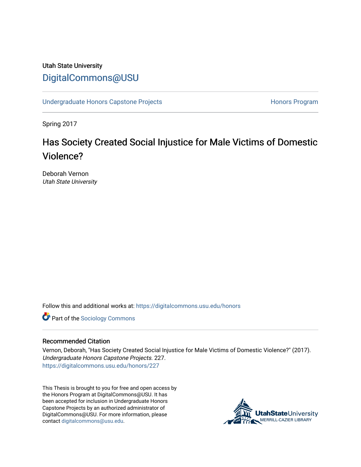### Utah State University [DigitalCommons@USU](https://digitalcommons.usu.edu/)

[Undergraduate Honors Capstone Projects](https://digitalcommons.usu.edu/honors) **Honors Program** Honors Program

Spring 2017

# Has Society Created Social Injustice for Male Victims of Domestic Violence?

Deborah Vernon Utah State University

Follow this and additional works at: [https://digitalcommons.usu.edu/honors](https://digitalcommons.usu.edu/honors?utm_source=digitalcommons.usu.edu%2Fhonors%2F227&utm_medium=PDF&utm_campaign=PDFCoverPages)

**Part of the [Sociology Commons](http://network.bepress.com/hgg/discipline/416?utm_source=digitalcommons.usu.edu%2Fhonors%2F227&utm_medium=PDF&utm_campaign=PDFCoverPages)** 

#### Recommended Citation

Vernon, Deborah, "Has Society Created Social Injustice for Male Victims of Domestic Violence?" (2017). Undergraduate Honors Capstone Projects. 227. [https://digitalcommons.usu.edu/honors/227](https://digitalcommons.usu.edu/honors/227?utm_source=digitalcommons.usu.edu%2Fhonors%2F227&utm_medium=PDF&utm_campaign=PDFCoverPages)

This Thesis is brought to you for free and open access by the Honors Program at DigitalCommons@USU. It has been accepted for inclusion in Undergraduate Honors Capstone Projects by an authorized administrator of DigitalCommons@USU. For more information, please contact [digitalcommons@usu.edu](mailto:digitalcommons@usu.edu).

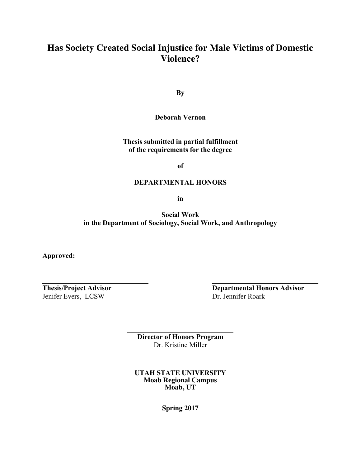## **Has Society Created Social Injustice for Male Victims of Domestic Violence?**

**By**

**Deborah Vernon**

**Thesis submitted in partial fulfillment of the requirements for the degree**

**of**

#### **DEPARTMENTAL HONORS**

**in**

**Social Work in the Department of Sociology, Social Work, and Anthropology**

**Approved:**

Jenifer Evers, LCSW Dr. Jennifer Roark

**Thesis/Project Advisor Departmental Honors Advisor**

**Director of Honors Program** Dr. Kristine Miller

**UTAH STATE UNIVERSITY Moab Regional Campus Moab, UT**

**Spring 2017**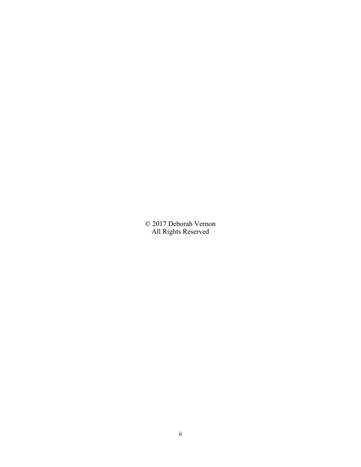© 2017 Deborah Vernon All Rights Reserved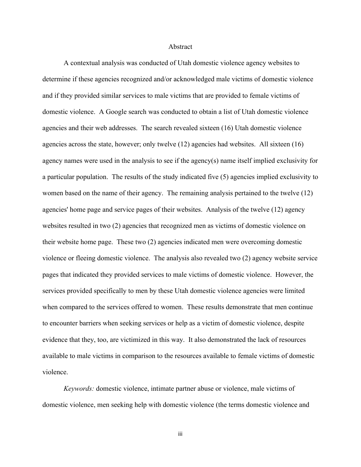#### Abstract

A contextual analysis was conducted of Utah domestic violence agency websites to determine if these agencies recognized and/or acknowledged male victims of domestic violence and if they provided similar services to male victims that are provided to female victims of domestic violence. A Google search was conducted to obtain a list of Utah domestic violence agencies and their web addresses. The search revealed sixteen (16) Utah domestic violence agencies across the state, however; only twelve (12) agencies had websites. All sixteen (16) agency names were used in the analysis to see if the agency(s) name itself implied exclusivity for a particular population. The results of the study indicated five (5) agencies implied exclusivity to women based on the name of their agency. The remaining analysis pertained to the twelve (12) agencies' home page and service pages of their websites. Analysis of the twelve (12) agency websites resulted in two (2) agencies that recognized men as victims of domestic violence on their website home page. These two (2) agencies indicated men were overcoming domestic violence or fleeing domestic violence. The analysis also revealed two (2) agency website service pages that indicated they provided services to male victims of domestic violence. However, the services provided specifically to men by these Utah domestic violence agencies were limited when compared to the services offered to women. These results demonstrate that men continue to encounter barriers when seeking services or help as a victim of domestic violence, despite evidence that they, too, are victimized in this way. It also demonstrated the lack of resources available to male victims in comparison to the resources available to female victims of domestic violence.

*Keywords:* domestic violence, intimate partner abuse or violence, male victims of domestic violence, men seeking help with domestic violence (the terms domestic violence and

iii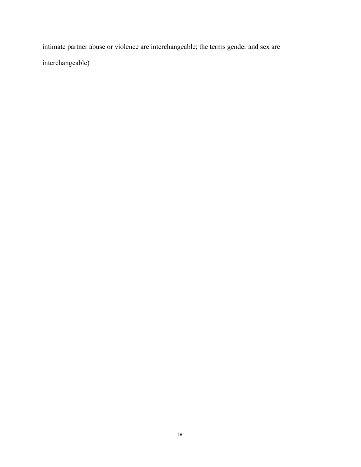intimate partner abuse or violence are interchangeable; the terms gender and sex are interchangeable)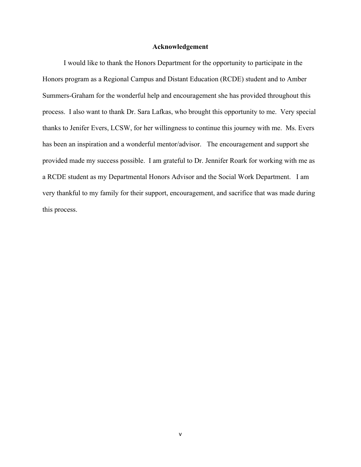#### **Acknowledgement**

I would like to thank the Honors Department for the opportunity to participate in the Honors program as a Regional Campus and Distant Education (RCDE) student and to Amber Summers-Graham for the wonderful help and encouragement she has provided throughout this process. I also want to thank Dr. Sara Lafkas, who brought this opportunity to me. Very special thanks to Jenifer Evers, LCSW, for her willingness to continue this journey with me. Ms. Evers has been an inspiration and a wonderful mentor/advisor. The encouragement and support she provided made my success possible. I am grateful to Dr. Jennifer Roark for working with me as a RCDE student as my Departmental Honors Advisor and the Social Work Department. I am very thankful to my family for their support, encouragement, and sacrifice that was made during this process.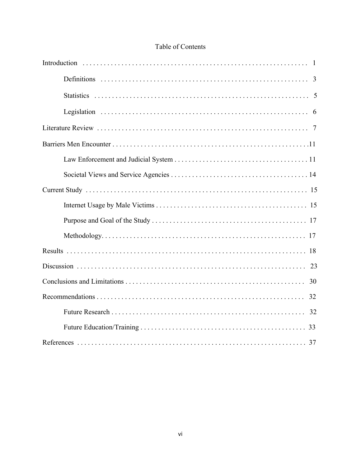### Table of Contents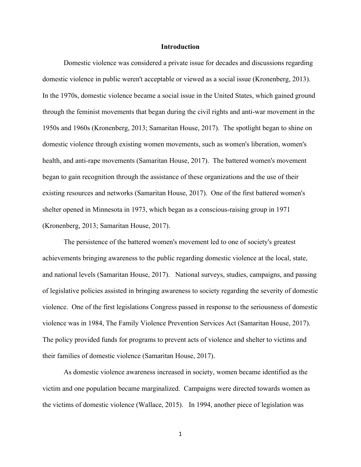#### **Introduction**

Domestic violence was considered a private issue for decades and discussions regarding domestic violence in public weren't acceptable or viewed as a social issue (Kronenberg, 2013). In the 1970s, domestic violence became a social issue in the United States, which gained ground through the feminist movements that began during the civil rights and anti-war movement in the 1950s and 1960s (Kronenberg, 2013; Samaritan House, 2017). The spotlight began to shine on domestic violence through existing women movements, such as women's liberation, women's health, and anti-rape movements (Samaritan House, 2017). The battered women's movement began to gain recognition through the assistance of these organizations and the use of their existing resources and networks (Samaritan House, 2017). One of the first battered women's shelter opened in Minnesota in 1973, which began as a conscious-raising group in 1971 (Kronenberg, 2013; Samaritan House, 2017).

The persistence of the battered women's movement led to one of society's greatest achievements bringing awareness to the public regarding domestic violence at the local, state, and national levels (Samaritan House, 2017). National surveys, studies, campaigns, and passing of legislative policies assisted in bringing awareness to society regarding the severity of domestic violence. One of the first legislations Congress passed in response to the seriousness of domestic violence was in 1984, The Family Violence Prevention Services Act (Samaritan House, 2017). The policy provided funds for programs to prevent acts of violence and shelter to victims and their families of domestic violence (Samaritan House, 2017).

As domestic violence awareness increased in society, women became identified as the victim and one population became marginalized. Campaigns were directed towards women as the victims of domestic violence (Wallace, 2015). In 1994, another piece of legislation was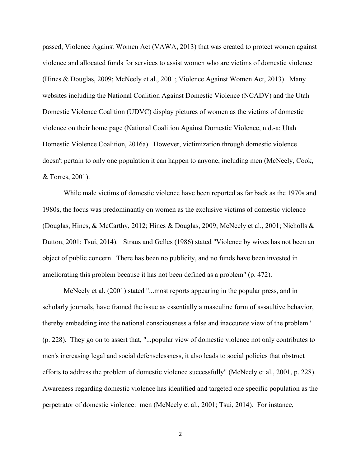passed, Violence Against Women Act (VAWA, 2013) that was created to protect women against violence and allocated funds for services to assist women who are victims of domestic violence (Hines & Douglas, 2009; McNeely et al., 2001; Violence Against Women Act, 2013). Many websites including the National Coalition Against Domestic Violence (NCADV) and the Utah Domestic Violence Coalition (UDVC) display pictures of women as the victims of domestic violence on their home page (National Coalition Against Domestic Violence, n.d.-a; Utah Domestic Violence Coalition, 2016a). However, victimization through domestic violence doesn't pertain to only one population it can happen to anyone, including men (McNeely, Cook, & Torres, 2001).

While male victims of domestic violence have been reported as far back as the 1970s and 1980s, the focus was predominantly on women as the exclusive victims of domestic violence (Douglas, Hines, & McCarthy, 2012; Hines & Douglas, 2009; McNeely et al., 2001; Nicholls & Dutton, 2001; Tsui, 2014). Straus and Gelles (1986) stated "Violence by wives has not been an object of public concern. There has been no publicity, and no funds have been invested in ameliorating this problem because it has not been defined as a problem" (p. 472).

McNeely et al. (2001) stated "...most reports appearing in the popular press, and in scholarly journals, have framed the issue as essentially a masculine form of assaultive behavior, thereby embedding into the national consciousness a false and inaccurate view of the problem" (p. 228). They go on to assert that, "...popular view of domestic violence not only contributes to men's increasing legal and social defenselessness, it also leads to social policies that obstruct efforts to address the problem of domestic violence successfully" (McNeely et al., 2001, p. 228). Awareness regarding domestic violence has identified and targeted one specific population as the perpetrator of domestic violence: men (McNeely et al., 2001; Tsui, 2014). For instance,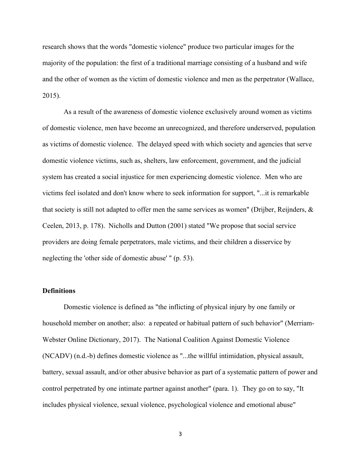research shows that the words "domestic violence" produce two particular images for the majority of the population: the first of a traditional marriage consisting of a husband and wife and the other of women as the victim of domestic violence and men as the perpetrator (Wallace, 2015).

As a result of the awareness of domestic violence exclusively around women as victims of domestic violence, men have become an unrecognized, and therefore underserved, population as victims of domestic violence. The delayed speed with which society and agencies that serve domestic violence victims, such as, shelters, law enforcement, government, and the judicial system has created a social injustice for men experiencing domestic violence. Men who are victims feel isolated and don't know where to seek information for support, "...it is remarkable that society is still not adapted to offer men the same services as women" (Drijber, Reijnders,  $\&$ Ceelen, 2013, p. 178). Nicholls and Dutton (2001) stated "We propose that social service providers are doing female perpetrators, male victims, and their children a disservice by neglecting the 'other side of domestic abuse' " (p. 53).

#### **Definitions**

Domestic violence is defined as "the inflicting of physical injury by one family or household member on another; also: a repeated or habitual pattern of such behavior" (Merriam-Webster Online Dictionary, 2017). The National Coalition Against Domestic Violence (NCADV) (n.d.-b) defines domestic violence as "...the willful intimidation, physical assault, battery, sexual assault, and/or other abusive behavior as part of a systematic pattern of power and control perpetrated by one intimate partner against another" (para. 1). They go on to say, "It includes physical violence, sexual violence, psychological violence and emotional abuse"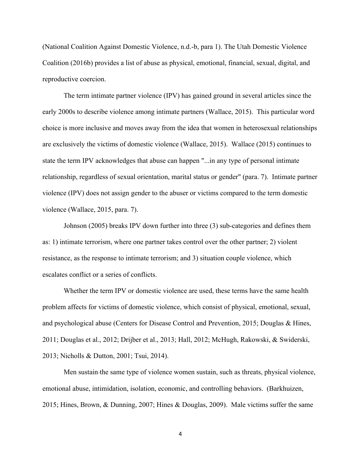(National Coalition Against Domestic Violence, n.d.-b, para 1). The Utah Domestic Violence Coalition (2016b) provides a list of abuse as physical, emotional, financial, sexual, digital, and reproductive coercion.

The term intimate partner violence (IPV) has gained ground in several articles since the early 2000s to describe violence among intimate partners (Wallace, 2015). This particular word choice is more inclusive and moves away from the idea that women in heterosexual relationships are exclusively the victims of domestic violence (Wallace, 2015). Wallace (2015) continues to state the term IPV acknowledges that abuse can happen "...in any type of personal intimate relationship, regardless of sexual orientation, marital status or gender" (para. 7). Intimate partner violence (IPV) does not assign gender to the abuser or victims compared to the term domestic violence (Wallace, 2015, para. 7).

Johnson (2005) breaks IPV down further into three (3) sub-categories and defines them as: 1) intimate terrorism, where one partner takes control over the other partner; 2) violent resistance, as the response to intimate terrorism; and 3) situation couple violence, which escalates conflict or a series of conflicts.

Whether the term IPV or domestic violence are used, these terms have the same health problem affects for victims of domestic violence, which consist of physical, emotional, sexual, and psychological abuse (Centers for Disease Control and Prevention, 2015; Douglas & Hines, 2011; Douglas et al., 2012; Drijber et al., 2013; Hall, 2012; McHugh, Rakowski, & Swiderski, 2013; Nicholls & Dutton, 2001; Tsui, 2014).

Men sustain the same type of violence women sustain, such as threats, physical violence, emotional abuse, intimidation, isolation, economic, and controlling behaviors. (Barkhuizen, 2015; Hines, Brown, & Dunning, 2007; Hines & Douglas, 2009). Male victims suffer the same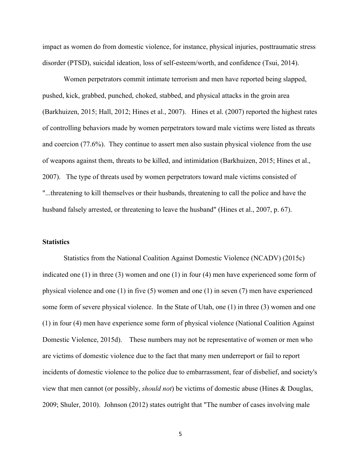impact as women do from domestic violence, for instance, physical injuries, posttraumatic stress disorder (PTSD), suicidal ideation, loss of self-esteem/worth, and confidence (Tsui, 2014).

Women perpetrators commit intimate terrorism and men have reported being slapped, pushed, kick, grabbed, punched, choked, stabbed, and physical attacks in the groin area (Barkhuizen, 2015; Hall, 2012; Hines et al., 2007). Hines et al. (2007) reported the highest rates of controlling behaviors made by women perpetrators toward male victims were listed as threats and coercion (77.6%). They continue to assert men also sustain physical violence from the use of weapons against them, threats to be killed, and intimidation (Barkhuizen, 2015; Hines et al., 2007). The type of threats used by women perpetrators toward male victims consisted of "...threatening to kill themselves or their husbands, threatening to call the police and have the husband falsely arrested, or threatening to leave the husband" (Hines et al., 2007, p. 67).

#### **Statistics**

Statistics from the National Coalition Against Domestic Violence (NCADV) (2015c) indicated one (1) in three (3) women and one (1) in four (4) men have experienced some form of physical violence and one (1) in five (5) women and one (1) in seven (7) men have experienced some form of severe physical violence. In the State of Utah, one (1) in three (3) women and one (1) in four (4) men have experience some form of physical violence (National Coalition Against Domestic Violence, 2015d). These numbers may not be representative of women or men who are victims of domestic violence due to the fact that many men underreport or fail to report incidents of domestic violence to the police due to embarrassment, fear of disbelief, and society's view that men cannot (or possibly, *should not*) be victims of domestic abuse (Hines & Douglas, 2009; Shuler, 2010). Johnson (2012) states outright that "The number of cases involving male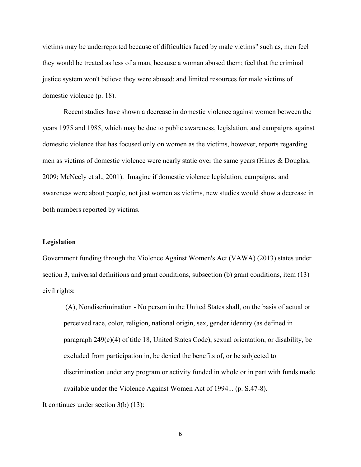victims may be underreported because of difficulties faced by male victims" such as, men feel they would be treated as less of a man, because a woman abused them; feel that the criminal justice system won't believe they were abused; and limited resources for male victims of domestic violence (p. 18).

Recent studies have shown a decrease in domestic violence against women between the years 1975 and 1985, which may be due to public awareness, legislation, and campaigns against domestic violence that has focused only on women as the victims, however, reports regarding men as victims of domestic violence were nearly static over the same years (Hines & Douglas, 2009; McNeely et al., 2001). Imagine if domestic violence legislation, campaigns, and awareness were about people, not just women as victims, new studies would show a decrease in both numbers reported by victims.

#### **Legislation**

Government funding through the Violence Against Women's Act (VAWA) (2013) states under section 3, universal definitions and grant conditions, subsection (b) grant conditions, item (13) civil rights:

(A), Nondiscrimination - No person in the United States shall, on the basis of actual or perceived race, color, religion, national origin, sex, gender identity (as defined in paragraph 249(c)(4) of title 18, United States Code), sexual orientation, or disability, be excluded from participation in, be denied the benefits of, or be subjected to discrimination under any program or activity funded in whole or in part with funds made available under the Violence Against Women Act of 1994... (p. S.47-8). It continues under section 3(b) (13):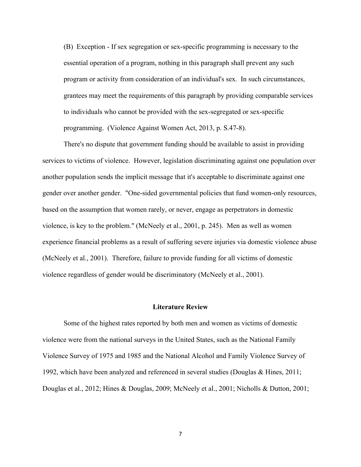(B) Exception - If sex segregation or sex-specific programming is necessary to the essential operation of a program, nothing in this paragraph shall prevent any such program or activity from consideration of an individual's sex. In such circumstances, grantees may meet the requirements of this paragraph by providing comparable services to individuals who cannot be provided with the sex-segregated or sex-specific programming. (Violence Against Women Act, 2013, p. S.47-8).

There's no dispute that government funding should be available to assist in providing services to victims of violence. However, legislation discriminating against one population over another population sends the implicit message that it's acceptable to discriminate against one gender over another gender. "One-sided governmental policies that fund women-only resources, based on the assumption that women rarely, or never, engage as perpetrators in domestic violence, is key to the problem." (McNeely et al., 2001, p. 245). Men as well as women experience financial problems as a result of suffering severe injuries via domestic violence abuse (McNeely et al., 2001). Therefore, failure to provide funding for all victims of domestic violence regardless of gender would be discriminatory (McNeely et al., 2001).

#### **Literature Review**

Some of the highest rates reported by both men and women as victims of domestic violence were from the national surveys in the United States, such as the National Family Violence Survey of 1975 and 1985 and the National Alcohol and Family Violence Survey of 1992, which have been analyzed and referenced in several studies (Douglas & Hines, 2011; Douglas et al., 2012; Hines & Douglas, 2009; McNeely et al., 2001; Nicholls & Dutton, 2001;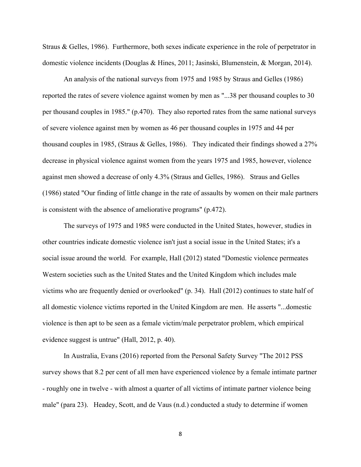Straus & Gelles, 1986). Furthermore, both sexes indicate experience in the role of perpetrator in domestic violence incidents (Douglas & Hines, 2011; Jasinski, Blumenstein, & Morgan, 2014).

An analysis of the national surveys from 1975 and 1985 by Straus and Gelles (1986) reported the rates of severe violence against women by men as "...38 per thousand couples to 30 per thousand couples in 1985." (p.470). They also reported rates from the same national surveys of severe violence against men by women as 46 per thousand couples in 1975 and 44 per thousand couples in 1985, (Straus & Gelles, 1986). They indicated their findings showed a 27% decrease in physical violence against women from the years 1975 and 1985, however, violence against men showed a decrease of only 4.3% (Straus and Gelles, 1986). Straus and Gelles (1986) stated "Our finding of little change in the rate of assaults by women on their male partners is consistent with the absence of ameliorative programs" (p.472).

The surveys of 1975 and 1985 were conducted in the United States, however, studies in other countries indicate domestic violence isn't just a social issue in the United States; it's a social issue around the world. For example, Hall (2012) stated "Domestic violence permeates Western societies such as the United States and the United Kingdom which includes male victims who are frequently denied or overlooked" (p. 34). Hall (2012) continues to state half of all domestic violence victims reported in the United Kingdom are men. He asserts "...domestic violence is then apt to be seen as a female victim/male perpetrator problem, which empirical evidence suggest is untrue" (Hall, 2012, p. 40).

In Australia, Evans (2016) reported from the Personal Safety Survey "The 2012 PSS survey shows that 8.2 per cent of all men have experienced violence by a female intimate partner - roughly one in twelve - with almost a quarter of all victims of intimate partner violence being male" (para 23). Headey, Scott, and de Vaus (n.d.) conducted a study to determine if women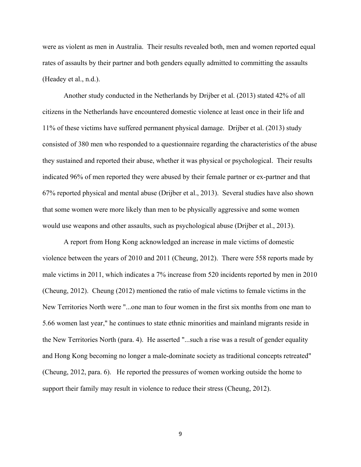were as violent as men in Australia. Their results revealed both, men and women reported equal rates of assaults by their partner and both genders equally admitted to committing the assaults (Headey et al., n.d.).

Another study conducted in the Netherlands by Drijber et al. (2013) stated 42% of all citizens in the Netherlands have encountered domestic violence at least once in their life and 11% of these victims have suffered permanent physical damage. Drijber et al. (2013) study consisted of 380 men who responded to a questionnaire regarding the characteristics of the abuse they sustained and reported their abuse, whether it was physical or psychological. Their results indicated 96% of men reported they were abused by their female partner or ex-partner and that 67% reported physical and mental abuse (Drijber et al., 2013). Several studies have also shown that some women were more likely than men to be physically aggressive and some women would use weapons and other assaults, such as psychological abuse (Drijber et al., 2013).

A report from Hong Kong acknowledged an increase in male victims of domestic violence between the years of 2010 and 2011 (Cheung, 2012). There were 558 reports made by male victims in 2011, which indicates a 7% increase from 520 incidents reported by men in 2010 (Cheung, 2012). Cheung (2012) mentioned the ratio of male victims to female victims in the New Territories North were "...one man to four women in the first six months from one man to 5.66 women last year," he continues to state ethnic minorities and mainland migrants reside in the New Territories North (para. 4). He asserted "...such a rise was a result of gender equality and Hong Kong becoming no longer a male-dominate society as traditional concepts retreated" (Cheung, 2012, para. 6). He reported the pressures of women working outside the home to support their family may result in violence to reduce their stress (Cheung, 2012).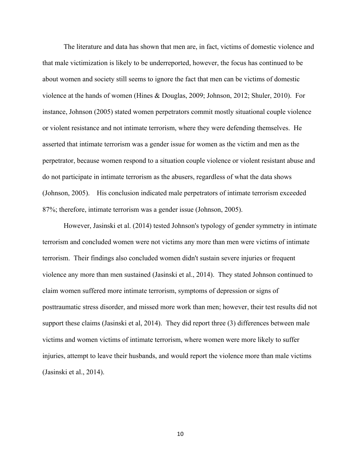The literature and data has shown that men are, in fact, victims of domestic violence and that male victimization is likely to be underreported, however, the focus has continued to be about women and society still seems to ignore the fact that men can be victims of domestic violence at the hands of women (Hines & Douglas, 2009; Johnson, 2012; Shuler, 2010). For instance, Johnson (2005) stated women perpetrators commit mostly situational couple violence or violent resistance and not intimate terrorism, where they were defending themselves. He asserted that intimate terrorism was a gender issue for women as the victim and men as the perpetrator, because women respond to a situation couple violence or violent resistant abuse and do not participate in intimate terrorism as the abusers, regardless of what the data shows (Johnson, 2005). His conclusion indicated male perpetrators of intimate terrorism exceeded 87%; therefore, intimate terrorism was a gender issue (Johnson, 2005).

However, Jasinski et al. (2014) tested Johnson's typology of gender symmetry in intimate terrorism and concluded women were not victims any more than men were victims of intimate terrorism. Their findings also concluded women didn't sustain severe injuries or frequent violence any more than men sustained (Jasinski et al., 2014). They stated Johnson continued to claim women suffered more intimate terrorism, symptoms of depression or signs of posttraumatic stress disorder, and missed more work than men; however, their test results did not support these claims (Jasinski et al, 2014). They did report three (3) differences between male victims and women victims of intimate terrorism, where women were more likely to suffer injuries, attempt to leave their husbands, and would report the violence more than male victims (Jasinski et al., 2014).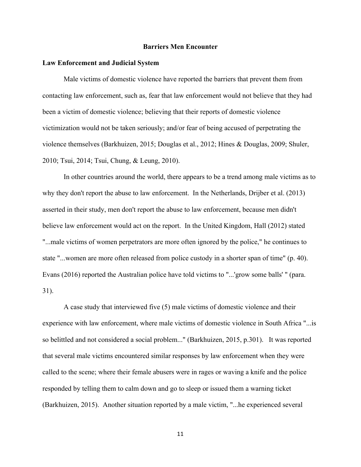#### **Barriers Men Encounter**

#### **Law Enforcement and Judicial System**

Male victims of domestic violence have reported the barriers that prevent them from contacting law enforcement, such as, fear that law enforcement would not believe that they had been a victim of domestic violence; believing that their reports of domestic violence victimization would not be taken seriously; and/or fear of being accused of perpetrating the violence themselves (Barkhuizen, 2015; Douglas et al., 2012; Hines & Douglas, 2009; Shuler, 2010; Tsui, 2014; Tsui, Chung, & Leung, 2010).

In other countries around the world, there appears to be a trend among male victims as to why they don't report the abuse to law enforcement. In the Netherlands, Drijber et al. (2013) asserted in their study, men don't report the abuse to law enforcement, because men didn't believe law enforcement would act on the report. In the United Kingdom, Hall (2012) stated "...male victims of women perpetrators are more often ignored by the police," he continues to state "...women are more often released from police custody in a shorter span of time" (p. 40). Evans (2016) reported the Australian police have told victims to "...'grow some balls' " (para. 31).

A case study that interviewed five (5) male victims of domestic violence and their experience with law enforcement, where male victims of domestic violence in South Africa "...is so belittled and not considered a social problem..." (Barkhuizen, 2015, p.301). It was reported that several male victims encountered similar responses by law enforcement when they were called to the scene; where their female abusers were in rages or waving a knife and the police responded by telling them to calm down and go to sleep or issued them a warning ticket (Barkhuizen, 2015). Another situation reported by a male victim, "...he experienced several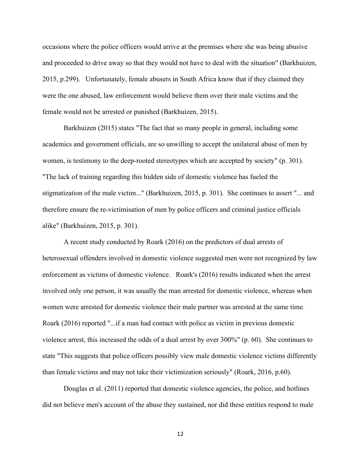occasions where the police officers would arrive at the premises where she was being abusive and proceeded to drive away so that they would not have to deal with the situation" (Barkhuizen, 2015, p.299). Unfortunately, female abusers in South Africa know that if they claimed they were the one abused, law enforcement would believe them over their male victims and the female would not be arrested or punished (Barkhuizen, 2015).

Barkhuizen (2015) states "The fact that so many people in general, including some academics and government officials, are so unwilling to accept the unilateral abuse of men by women, is testimony to the deep-rooted stereotypes which are accepted by society" (p. 301). "The lack of training regarding this hidden side of domestic violence has fueled the stigmatization of the male victim..." (Barkhuizen, 2015, p. 301). She continues to assert "... and therefore ensure the re-victimisation of men by police officers and criminal justice officials alike" (Barkhuizen, 2015, p. 301).

A recent study conducted by Roark (2016) on the predictors of dual arrests of heterosexual offenders involved in domestic violence suggested men were not recognized by law enforcement as victims of domestic violence. Roark's (2016) results indicated when the arrest involved only one person, it was usually the man arrested for domestic violence, whereas when women were arrested for domestic violence their male partner was arrested at the same time. Roark (2016) reported "...if a man had contact with police as victim in previous domestic violence arrest, this increased the odds of a dual arrest by over 300%" (p. 60). She continues to state "This suggests that police officers possibly view male domestic violence victims differently than female victims and may not take their victimization seriously" (Roark, 2016, p.60).

Douglas et al. (2011) reported that domestic violence agencies, the police, and hotlines did not believe men's account of the abuse they sustained, nor did these entities respond to male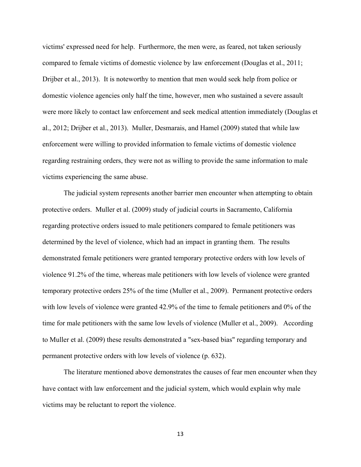victims' expressed need for help. Furthermore, the men were, as feared, not taken seriously compared to female victims of domestic violence by law enforcement (Douglas et al., 2011; Drijber et al., 2013). It is noteworthy to mention that men would seek help from police or domestic violence agencies only half the time, however, men who sustained a severe assault were more likely to contact law enforcement and seek medical attention immediately (Douglas et al., 2012; Drijber et al., 2013). Muller, Desmarais, and Hamel (2009) stated that while law enforcement were willing to provided information to female victims of domestic violence regarding restraining orders, they were not as willing to provide the same information to male victims experiencing the same abuse.

The judicial system represents another barrier men encounter when attempting to obtain protective orders. Muller et al. (2009) study of judicial courts in Sacramento, California regarding protective orders issued to male petitioners compared to female petitioners was determined by the level of violence, which had an impact in granting them. The results demonstrated female petitioners were granted temporary protective orders with low levels of violence 91.2% of the time, whereas male petitioners with low levels of violence were granted temporary protective orders 25% of the time (Muller et al., 2009). Permanent protective orders with low levels of violence were granted 42.9% of the time to female petitioners and 0% of the time for male petitioners with the same low levels of violence (Muller et al., 2009). According to Muller et al. (2009) these results demonstrated a "sex-based bias" regarding temporary and permanent protective orders with low levels of violence (p. 632).

The literature mentioned above demonstrates the causes of fear men encounter when they have contact with law enforcement and the judicial system, which would explain why male victims may be reluctant to report the violence.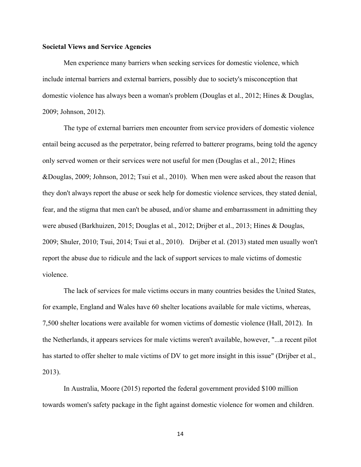#### **Societal Views and Service Agencies**

Men experience many barriers when seeking services for domestic violence, which include internal barriers and external barriers, possibly due to society's misconception that domestic violence has always been a woman's problem (Douglas et al., 2012; Hines & Douglas, 2009; Johnson, 2012).

The type of external barriers men encounter from service providers of domestic violence entail being accused as the perpetrator, being referred to batterer programs, being told the agency only served women or their services were not useful for men (Douglas et al., 2012; Hines &Douglas, 2009; Johnson, 2012; Tsui et al., 2010). When men were asked about the reason that they don't always report the abuse or seek help for domestic violence services, they stated denial, fear, and the stigma that men can't be abused, and/or shame and embarrassment in admitting they were abused (Barkhuizen, 2015; Douglas et al., 2012; Drijber et al., 2013; Hines & Douglas, 2009; Shuler, 2010; Tsui, 2014; Tsui et al., 2010). Drijber et al. (2013) stated men usually won't report the abuse due to ridicule and the lack of support services to male victims of domestic violence.

The lack of services for male victims occurs in many countries besides the United States, for example, England and Wales have 60 shelter locations available for male victims, whereas, 7,500 shelter locations were available for women victims of domestic violence (Hall, 2012). In the Netherlands, it appears services for male victims weren't available, however, "...a recent pilot has started to offer shelter to male victims of DV to get more insight in this issue" (Drijber et al., 2013).

In Australia, Moore (2015) reported the federal government provided \$100 million towards women's safety package in the fight against domestic violence for women and children.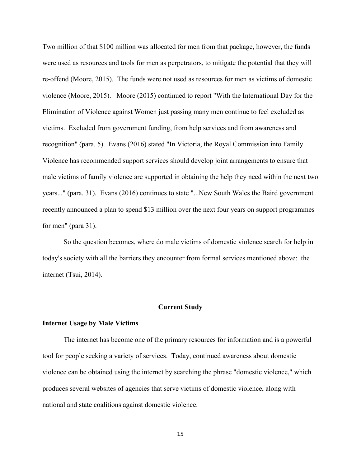Two million of that \$100 million was allocated for men from that package, however, the funds were used as resources and tools for men as perpetrators, to mitigate the potential that they will re-offend (Moore, 2015). The funds were not used as resources for men as victims of domestic violence (Moore, 2015). Moore (2015) continued to report "With the International Day for the Elimination of Violence against Women just passing many men continue to feel excluded as victims. Excluded from government funding, from help services and from awareness and recognition" (para. 5). Evans (2016) stated "In Victoria, the Royal Commission into Family Violence has recommended support services should develop joint arrangements to ensure that male victims of family violence are supported in obtaining the help they need within the next two years..." (para. 31). Evans (2016) continues to state "...New South Wales the Baird government recently announced a plan to spend \$13 million over the next four years on support programmes for men" (para 31).

So the question becomes, where do male victims of domestic violence search for help in today's society with all the barriers they encounter from formal services mentioned above: the internet (Tsui, 2014).

#### **Current Study**

#### **Internet Usage by Male Victims**

The internet has become one of the primary resources for information and is a powerful tool for people seeking a variety of services. Today, continued awareness about domestic violence can be obtained using the internet by searching the phrase "domestic violence," which produces several websites of agencies that serve victims of domestic violence, along with national and state coalitions against domestic violence.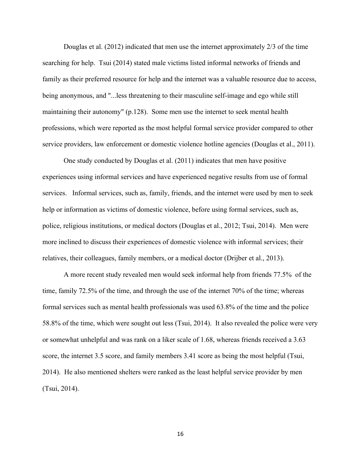Douglas et al. (2012) indicated that men use the internet approximately 2/3 of the time searching for help. Tsui (2014) stated male victims listed informal networks of friends and family as their preferred resource for help and the internet was a valuable resource due to access, being anonymous, and "...less threatening to their masculine self-image and ego while still maintaining their autonomy" (p.128). Some men use the internet to seek mental health professions, which were reported as the most helpful formal service provider compared to other service providers, law enforcement or domestic violence hotline agencies (Douglas et al., 2011).

One study conducted by Douglas et al. (2011) indicates that men have positive experiences using informal services and have experienced negative results from use of formal services. Informal services, such as, family, friends, and the internet were used by men to seek help or information as victims of domestic violence, before using formal services, such as, police, religious institutions, or medical doctors (Douglas et al., 2012; Tsui, 2014). Men were more inclined to discuss their experiences of domestic violence with informal services; their relatives, their colleagues, family members, or a medical doctor (Drijber et al., 2013).

A more recent study revealed men would seek informal help from friends 77.5% of the time, family 72.5% of the time, and through the use of the internet 70% of the time; whereas formal services such as mental health professionals was used 63.8% of the time and the police 58.8% of the time, which were sought out less (Tsui, 2014). It also revealed the police were very or somewhat unhelpful and was rank on a liker scale of 1.68, whereas friends received a 3.63 score, the internet 3.5 score, and family members 3.41 score as being the most helpful (Tsui, 2014). He also mentioned shelters were ranked as the least helpful service provider by men (Tsui, 2014).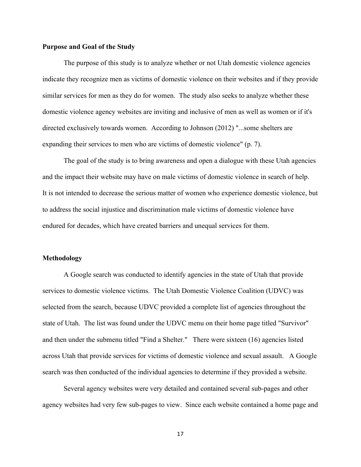#### **Purpose and Goal of the Study**

The purpose of this study is to analyze whether or not Utah domestic violence agencies indicate they recognize men as victims of domestic violence on their websites and if they provide similar services for men as they do for women. The study also seeks to analyze whether these domestic violence agency websites are inviting and inclusive of men as well as women or if it's directed exclusively towards women. According to Johnson (2012) "...some shelters are expanding their services to men who are victims of domestic violence" (p. 7).

The goal of the study is to bring awareness and open a dialogue with these Utah agencies and the impact their website may have on male victims of domestic violence in search of help. It is not intended to decrease the serious matter of women who experience domestic violence, but to address the social injustice and discrimination male victims of domestic violence have endured for decades, which have created barriers and unequal services for them.

#### **Methodology**

A Google search was conducted to identify agencies in the state of Utah that provide services to domestic violence victims. The Utah Domestic Violence Coalition (UDVC) was selected from the search, because UDVC provided a complete list of agencies throughout the state of Utah. The list was found under the UDVC menu on their home page titled "Survivor" and then under the submenu titled "Find a Shelter." There were sixteen (16) agencies listed across Utah that provide services for victims of domestic violence and sexual assault. A Google search was then conducted of the individual agencies to determine if they provided a website.

Several agency websites were very detailed and contained several sub-pages and other agency websites had very few sub-pages to view. Since each website contained a home page and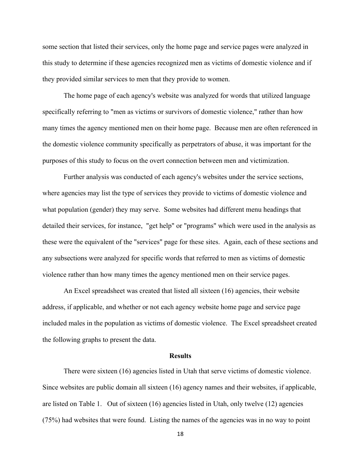some section that listed their services, only the home page and service pages were analyzed in this study to determine if these agencies recognized men as victims of domestic violence and if they provided similar services to men that they provide to women.

The home page of each agency's website was analyzed for words that utilized language specifically referring to "men as victims or survivors of domestic violence," rather than how many times the agency mentioned men on their home page. Because men are often referenced in the domestic violence community specifically as perpetrators of abuse, it was important for the purposes of this study to focus on the overt connection between men and victimization.

Further analysis was conducted of each agency's websites under the service sections, where agencies may list the type of services they provide to victims of domestic violence and what population (gender) they may serve. Some websites had different menu headings that detailed their services, for instance, "get help" or "programs" which were used in the analysis as these were the equivalent of the "services" page for these sites. Again, each of these sections and any subsections were analyzed for specific words that referred to men as victims of domestic violence rather than how many times the agency mentioned men on their service pages.

An Excel spreadsheet was created that listed all sixteen (16) agencies, their website address, if applicable, and whether or not each agency website home page and service page included males in the population as victims of domestic violence. The Excel spreadsheet created the following graphs to present the data.

#### **Results**

There were sixteen (16) agencies listed in Utah that serve victims of domestic violence. Since websites are public domain all sixteen (16) agency names and their websites, if applicable, are listed on Table 1. Out of sixteen (16) agencies listed in Utah, only twelve (12) agencies (75%) had websites that were found. Listing the names of the agencies was in no way to point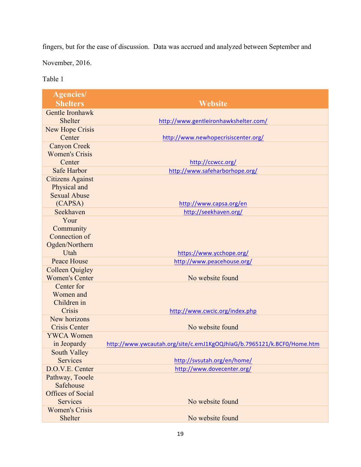fingers, but for the ease of discussion. Data was accrued and analyzed between September and

November, 2016.

Table 1

| <b>Agencies/</b>         |                                                                        |
|--------------------------|------------------------------------------------------------------------|
| <b>Shelters</b>          | <b>Website</b>                                                         |
| Gentle Ironhawk          |                                                                        |
| <b>Shelter</b>           | http://www.gentleironhawkshelter.com/                                  |
| <b>New Hope Crisis</b>   |                                                                        |
| Center                   | http://www.newhopecrisiscenter.org/                                    |
| <b>Canyon Creek</b>      |                                                                        |
| <b>Women's Crisis</b>    |                                                                        |
| Center                   | http://ccwcc.org/                                                      |
| <b>Safe Harbor</b>       | http://www.safeharborhope.org/                                         |
| <b>Citizens Against</b>  |                                                                        |
| Physical and             |                                                                        |
| <b>Sexual Abuse</b>      |                                                                        |
| (CAPSA)                  | http://www.capsa.org/en                                                |
| Seekhaven                | http://seekhaven.org/                                                  |
| Your                     |                                                                        |
| Community                |                                                                        |
| Connection of            |                                                                        |
| Ogden/Northern           |                                                                        |
| Utah                     | https://www.ycchope.org/                                               |
| <b>Peace House</b>       | http://www.peacehouse.org/                                             |
| <b>Colleen Quigley</b>   |                                                                        |
| <b>Women's Center</b>    | No website found                                                       |
| Center for               |                                                                        |
| Women and                |                                                                        |
| Children in<br>Crisis    |                                                                        |
| New horizons             | http://www.cwcic.org/index.php                                         |
| <b>Crisis Center</b>     | No website found                                                       |
| <b>YWCA Women</b>        |                                                                        |
| in Jeopardy              | http://www.ywcautah.org/site/c.emJ1KgOQJhIaG/b.7965121/k.BCF0/Home.htm |
| South Valley             |                                                                        |
| <b>Services</b>          | http://svsutah.org/en/home/                                            |
| D.O.V.E. Center          | http://www.dovecenter.org/                                             |
| Pathway, Tooele          |                                                                        |
| Safehouse                |                                                                        |
| <b>Offices of Social</b> |                                                                        |
| <b>Services</b>          | No website found                                                       |
| <b>Women's Crisis</b>    |                                                                        |
| Shelter                  | No website found                                                       |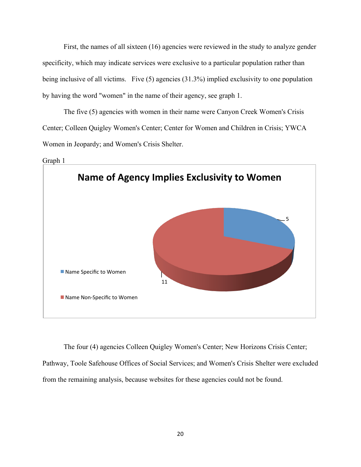First, the names of all sixteen (16) agencies were reviewed in the study to analyze gender specificity, which may indicate services were exclusive to a particular population rather than being inclusive of all victims. Five (5) agencies (31.3%) implied exclusivity to one population by having the word "women" in the name of their agency, see graph 1.

The five (5) agencies with women in their name were Canyon Creek Women's Crisis Center; Colleen Quigley Women's Center; Center for Women and Children in Crisis; YWCA Women in Jeopardy; and Women's Crisis Shelter.



The four (4) agencies Colleen Quigley Women's Center; New Horizons Crisis Center; Pathway, Toole Safehouse Offices of Social Services; and Women's Crisis Shelter were excluded from the remaining analysis, because websites for these agencies could not be found.

Graph 1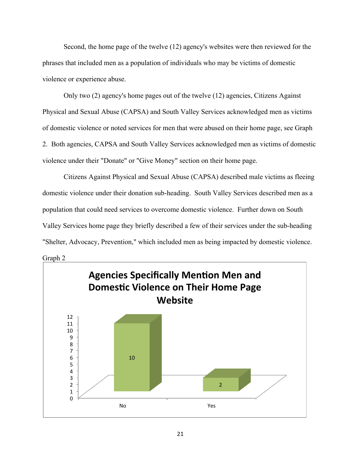Second, the home page of the twelve (12) agency's websites were then reviewed for the phrases that included men as a population of individuals who may be victims of domestic violence or experience abuse.

Only two (2) agency's home pages out of the twelve (12) agencies, Citizens Against Physical and Sexual Abuse (CAPSA) and South Valley Services acknowledged men as victims of domestic violence or noted services for men that were abused on their home page, see Graph 2. Both agencies, CAPSA and South Valley Services acknowledged men as victims of domestic violence under their "Donate" or "Give Money" section on their home page.

Citizens Against Physical and Sexual Abuse (CAPSA) described male victims as fleeing domestic violence under their donation sub-heading. South Valley Services described men as a population that could need services to overcome domestic violence. Further down on South Valley Services home page they briefly described a few of their services under the sub-heading "Shelter, Advocacy, Prevention," which included men as being impacted by domestic violence.

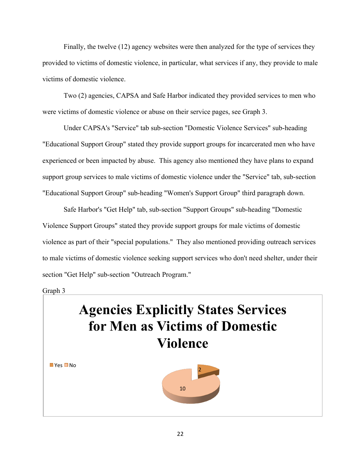Finally, the twelve (12) agency websites were then analyzed for the type of services they provided to victims of domestic violence, in particular, what services if any, they provide to male victims of domestic violence.

Two (2) agencies, CAPSA and Safe Harbor indicated they provided services to men who were victims of domestic violence or abuse on their service pages, see Graph 3.

Under CAPSA's "Service" tab sub-section "Domestic Violence Services" sub-heading "Educational Support Group" stated they provide support groups for incarcerated men who have experienced or been impacted by abuse. This agency also mentioned they have plans to expand support group services to male victims of domestic violence under the "Service" tab, sub-section "Educational Support Group" sub-heading "Women's Support Group" third paragraph down.

Safe Harbor's "Get Help" tab, sub-section "Support Groups" sub-heading "Domestic Violence Support Groups" stated they provide support groups for male victims of domestic violence as part of their "special populations." They also mentioned providing outreach services to male victims of domestic violence seeking support services who don't need shelter, under their section "Get Help" sub-section "Outreach Program."

#### Graph 3

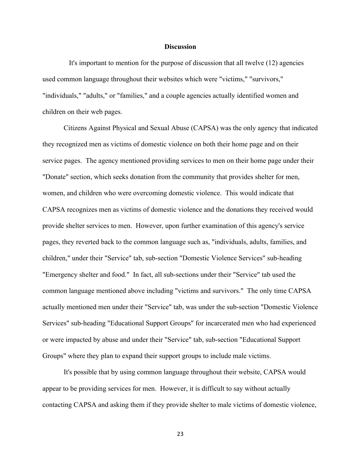#### **Discussion**

 It's important to mention for the purpose of discussion that all twelve (12) agencies used common language throughout their websites which were "victims," "survivors," "individuals," "adults," or "families," and a couple agencies actually identified women and children on their web pages.

Citizens Against Physical and Sexual Abuse (CAPSA) was the only agency that indicated they recognized men as victims of domestic violence on both their home page and on their service pages. The agency mentioned providing services to men on their home page under their "Donate" section, which seeks donation from the community that provides shelter for men, women, and children who were overcoming domestic violence. This would indicate that CAPSA recognizes men as victims of domestic violence and the donations they received would provide shelter services to men. However, upon further examination of this agency's service pages, they reverted back to the common language such as, "individuals, adults, families, and children," under their "Service" tab, sub-section "Domestic Violence Services" sub-heading "Emergency shelter and food." In fact, all sub-sections under their "Service" tab used the common language mentioned above including "victims and survivors." The only time CAPSA actually mentioned men under their "Service" tab, was under the sub-section "Domestic Violence Services" sub-heading "Educational Support Groups" for incarcerated men who had experienced or were impacted by abuse and under their "Service" tab, sub-section "Educational Support Groups" where they plan to expand their support groups to include male victims.

It's possible that by using common language throughout their website, CAPSA would appear to be providing services for men. However, it is difficult to say without actually contacting CAPSA and asking them if they provide shelter to male victims of domestic violence,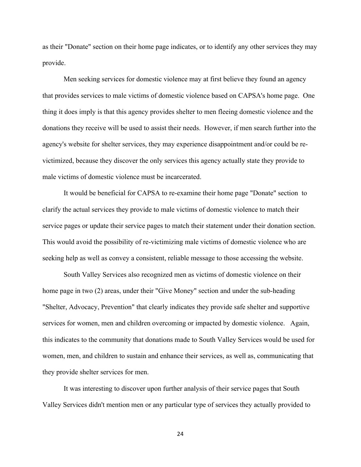as their "Donate" section on their home page indicates, or to identify any other services they may provide.

Men seeking services for domestic violence may at first believe they found an agency that provides services to male victims of domestic violence based on CAPSA's home page. One thing it does imply is that this agency provides shelter to men fleeing domestic violence and the donations they receive will be used to assist their needs. However, if men search further into the agency's website for shelter services, they may experience disappointment and/or could be revictimized, because they discover the only services this agency actually state they provide to male victims of domestic violence must be incarcerated.

It would be beneficial for CAPSA to re-examine their home page "Donate" section to clarify the actual services they provide to male victims of domestic violence to match their service pages or update their service pages to match their statement under their donation section. This would avoid the possibility of re-victimizing male victims of domestic violence who are seeking help as well as convey a consistent, reliable message to those accessing the website.

South Valley Services also recognized men as victims of domestic violence on their home page in two (2) areas, under their "Give Money" section and under the sub-heading "Shelter, Advocacy, Prevention" that clearly indicates they provide safe shelter and supportive services for women, men and children overcoming or impacted by domestic violence. Again, this indicates to the community that donations made to South Valley Services would be used for women, men, and children to sustain and enhance their services, as well as, communicating that they provide shelter services for men.

It was interesting to discover upon further analysis of their service pages that South Valley Services didn't mention men or any particular type of services they actually provided to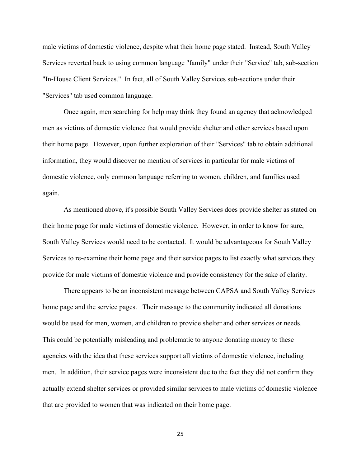male victims of domestic violence, despite what their home page stated. Instead, South Valley Services reverted back to using common language "family" under their "Service" tab, sub-section "In-House Client Services." In fact, all of South Valley Services sub-sections under their "Services" tab used common language.

Once again, men searching for help may think they found an agency that acknowledged men as victims of domestic violence that would provide shelter and other services based upon their home page. However, upon further exploration of their "Services" tab to obtain additional information, they would discover no mention of services in particular for male victims of domestic violence, only common language referring to women, children, and families used again.

As mentioned above, it's possible South Valley Services does provide shelter as stated on their home page for male victims of domestic violence. However, in order to know for sure, South Valley Services would need to be contacted. It would be advantageous for South Valley Services to re-examine their home page and their service pages to list exactly what services they provide for male victims of domestic violence and provide consistency for the sake of clarity.

There appears to be an inconsistent message between CAPSA and South Valley Services home page and the service pages. Their message to the community indicated all donations would be used for men, women, and children to provide shelter and other services or needs. This could be potentially misleading and problematic to anyone donating money to these agencies with the idea that these services support all victims of domestic violence, including men. In addition, their service pages were inconsistent due to the fact they did not confirm they actually extend shelter services or provided similar services to male victims of domestic violence that are provided to women that was indicated on their home page.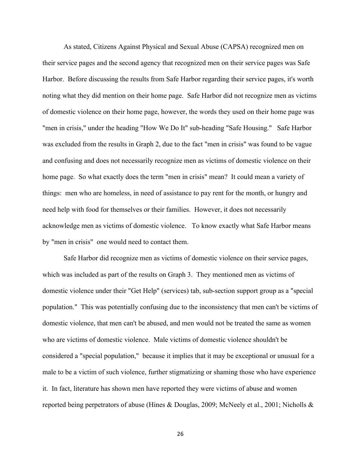As stated, Citizens Against Physical and Sexual Abuse (CAPSA) recognized men on their service pages and the second agency that recognized men on their service pages was Safe Harbor. Before discussing the results from Safe Harbor regarding their service pages, it's worth noting what they did mention on their home page. Safe Harbor did not recognize men as victims of domestic violence on their home page, however, the words they used on their home page was "men in crisis," under the heading "How We Do It" sub-heading "Safe Housing." Safe Harbor was excluded from the results in Graph 2, due to the fact "men in crisis" was found to be vague and confusing and does not necessarily recognize men as victims of domestic violence on their home page. So what exactly does the term "men in crisis" mean? It could mean a variety of things: men who are homeless, in need of assistance to pay rent for the month, or hungry and need help with food for themselves or their families. However, it does not necessarily acknowledge men as victims of domestic violence. To know exactly what Safe Harbor means by "men in crisis" one would need to contact them.

Safe Harbor did recognize men as victims of domestic violence on their service pages, which was included as part of the results on Graph 3. They mentioned men as victims of domestic violence under their "Get Help" (services) tab, sub-section support group as a "special population." This was potentially confusing due to the inconsistency that men can't be victims of domestic violence, that men can't be abused, and men would not be treated the same as women who are victims of domestic violence. Male victims of domestic violence shouldn't be considered a "special population," because it implies that it may be exceptional or unusual for a male to be a victim of such violence, further stigmatizing or shaming those who have experience it. In fact, literature has shown men have reported they were victims of abuse and women reported being perpetrators of abuse (Hines & Douglas, 2009; McNeely et al., 2001; Nicholls &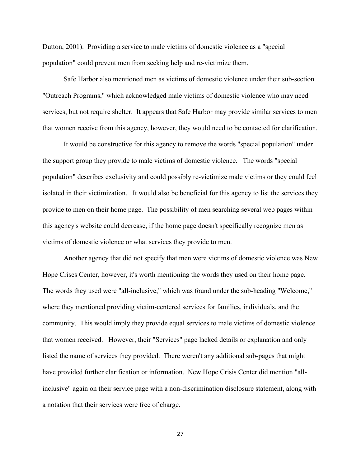Dutton, 2001). Providing a service to male victims of domestic violence as a "special population" could prevent men from seeking help and re-victimize them.

Safe Harbor also mentioned men as victims of domestic violence under their sub-section "Outreach Programs," which acknowledged male victims of domestic violence who may need services, but not require shelter. It appears that Safe Harbor may provide similar services to men that women receive from this agency, however, they would need to be contacted for clarification.

It would be constructive for this agency to remove the words "special population" under the support group they provide to male victims of domestic violence. The words "special population" describes exclusivity and could possibly re-victimize male victims or they could feel isolated in their victimization. It would also be beneficial for this agency to list the services they provide to men on their home page. The possibility of men searching several web pages within this agency's website could decrease, if the home page doesn't specifically recognize men as victims of domestic violence or what services they provide to men.

Another agency that did not specify that men were victims of domestic violence was New Hope Crises Center, however, it's worth mentioning the words they used on their home page. The words they used were "all-inclusive," which was found under the sub-heading "Welcome," where they mentioned providing victim-centered services for families, individuals, and the community. This would imply they provide equal services to male victims of domestic violence that women received. However, their "Services" page lacked details or explanation and only listed the name of services they provided. There weren't any additional sub-pages that might have provided further clarification or information. New Hope Crisis Center did mention "allinclusive" again on their service page with a non-discrimination disclosure statement, along with a notation that their services were free of charge.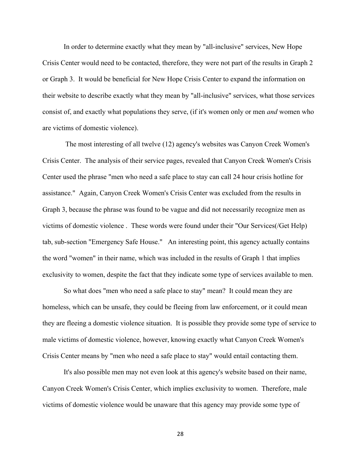In order to determine exactly what they mean by "all-inclusive" services, New Hope Crisis Center would need to be contacted, therefore, they were not part of the results in Graph 2 or Graph 3. It would be beneficial for New Hope Crisis Center to expand the information on their website to describe exactly what they mean by "all-inclusive" services, what those services consist of, and exactly what populations they serve, (if it's women only or men *and* women who are victims of domestic violence).

The most interesting of all twelve (12) agency's websites was Canyon Creek Women's Crisis Center. The analysis of their service pages, revealed that Canyon Creek Women's Crisis Center used the phrase "men who need a safe place to stay can call 24 hour crisis hotline for assistance." Again, Canyon Creek Women's Crisis Center was excluded from the results in Graph 3, because the phrase was found to be vague and did not necessarily recognize men as victims of domestic violence . These words were found under their "Our Services(/Get Help) tab, sub-section "Emergency Safe House." An interesting point, this agency actually contains the word "women" in their name, which was included in the results of Graph 1 that implies exclusivity to women, despite the fact that they indicate some type of services available to men.

So what does "men who need a safe place to stay" mean? It could mean they are homeless, which can be unsafe, they could be fleeing from law enforcement, or it could mean they are fleeing a domestic violence situation. It is possible they provide some type of service to male victims of domestic violence, however, knowing exactly what Canyon Creek Women's Crisis Center means by "men who need a safe place to stay" would entail contacting them.

It's also possible men may not even look at this agency's website based on their name, Canyon Creek Women's Crisis Center, which implies exclusivity to women. Therefore, male victims of domestic violence would be unaware that this agency may provide some type of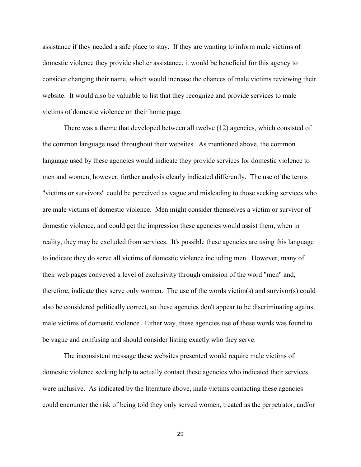assistance if they needed a safe place to stay. If they are wanting to inform male victims of domestic violence they provide shelter assistance, it would be beneficial for this agency to consider changing their name, which would increase the chances of male victims reviewing their website. It would also be valuable to list that they recognize and provide services to male victims of domestic violence on their home page.

There was a theme that developed between all twelve (12) agencies, which consisted of the common language used throughout their websites. As mentioned above, the common language used by these agencies would indicate they provide services for domestic violence to men and women, however, further analysis clearly indicated differently. The use of the terms "victims or survivors" could be perceived as vague and misleading to those seeking services who are male victims of domestic violence. Men might consider themselves a victim or survivor of domestic violence, and could get the impression these agencies would assist them, when in reality, they may be excluded from services. It's possible these agencies are using this language to indicate they do serve all victims of domestic violence including men. However, many of their web pages conveyed a level of exclusivity through omission of the word "men" and, therefore, indicate they serve only women. The use of the words victim(s) and survivor(s) could also be considered politically correct, so these agencies don't appear to be discriminating against male victims of domestic violence. Either way, these agencies use of these words was found to be vague and confusing and should consider listing exactly who they serve.

The inconsistent message these websites presented would require male victims of domestic violence seeking help to actually contact these agencies who indicated their services were inclusive. As indicated by the literature above, male victims contacting these agencies could encounter the risk of being told they only served women, treated as the perpetrator, and/or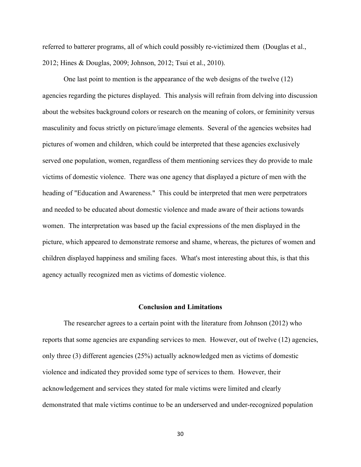referred to batterer programs, all of which could possibly re-victimized them (Douglas et al., 2012; Hines & Douglas, 2009; Johnson, 2012; Tsui et al., 2010).

One last point to mention is the appearance of the web designs of the twelve (12) agencies regarding the pictures displayed. This analysis will refrain from delving into discussion about the websites background colors or research on the meaning of colors, or femininity versus masculinity and focus strictly on picture/image elements. Several of the agencies websites had pictures of women and children, which could be interpreted that these agencies exclusively served one population, women, regardless of them mentioning services they do provide to male victims of domestic violence. There was one agency that displayed a picture of men with the heading of "Education and Awareness." This could be interpreted that men were perpetrators and needed to be educated about domestic violence and made aware of their actions towards women. The interpretation was based up the facial expressions of the men displayed in the picture, which appeared to demonstrate remorse and shame, whereas, the pictures of women and children displayed happiness and smiling faces. What's most interesting about this, is that this agency actually recognized men as victims of domestic violence.

#### **Conclusion and Limitations**

The researcher agrees to a certain point with the literature from Johnson (2012) who reports that some agencies are expanding services to men. However, out of twelve (12) agencies, only three (3) different agencies (25%) actually acknowledged men as victims of domestic violence and indicated they provided some type of services to them. However, their acknowledgement and services they stated for male victims were limited and clearly demonstrated that male victims continue to be an underserved and under-recognized population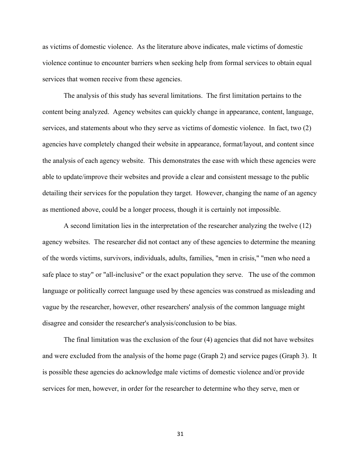as victims of domestic violence. As the literature above indicates, male victims of domestic violence continue to encounter barriers when seeking help from formal services to obtain equal services that women receive from these agencies.

The analysis of this study has several limitations. The first limitation pertains to the content being analyzed. Agency websites can quickly change in appearance, content, language, services, and statements about who they serve as victims of domestic violence. In fact, two (2) agencies have completely changed their website in appearance, format/layout, and content since the analysis of each agency website. This demonstrates the ease with which these agencies were able to update/improve their websites and provide a clear and consistent message to the public detailing their services for the population they target. However, changing the name of an agency as mentioned above, could be a longer process, though it is certainly not impossible.

A second limitation lies in the interpretation of the researcher analyzing the twelve (12) agency websites. The researcher did not contact any of these agencies to determine the meaning of the words victims, survivors, individuals, adults, families, "men in crisis," "men who need a safe place to stay" or "all-inclusive" or the exact population they serve. The use of the common language or politically correct language used by these agencies was construed as misleading and vague by the researcher, however, other researchers' analysis of the common language might disagree and consider the researcher's analysis/conclusion to be bias.

The final limitation was the exclusion of the four (4) agencies that did not have websites and were excluded from the analysis of the home page (Graph 2) and service pages (Graph 3). It is possible these agencies do acknowledge male victims of domestic violence and/or provide services for men, however, in order for the researcher to determine who they serve, men or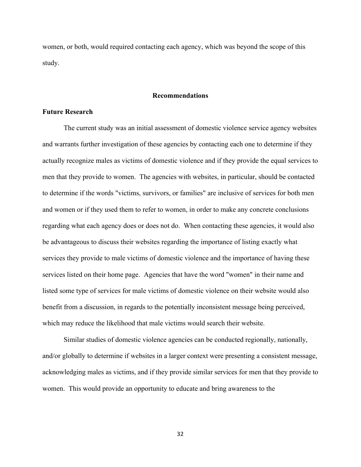women, or both, would required contacting each agency, which was beyond the scope of this study.

#### **Recommendations**

#### **Future Research**

The current study was an initial assessment of domestic violence service agency websites and warrants further investigation of these agencies by contacting each one to determine if they actually recognize males as victims of domestic violence and if they provide the equal services to men that they provide to women. The agencies with websites, in particular, should be contacted to determine if the words "victims, survivors, or families" are inclusive of services for both men and women or if they used them to refer to women, in order to make any concrete conclusions regarding what each agency does or does not do. When contacting these agencies, it would also be advantageous to discuss their websites regarding the importance of listing exactly what services they provide to male victims of domestic violence and the importance of having these services listed on their home page. Agencies that have the word "women" in their name and listed some type of services for male victims of domestic violence on their website would also benefit from a discussion, in regards to the potentially inconsistent message being perceived, which may reduce the likelihood that male victims would search their website.

Similar studies of domestic violence agencies can be conducted regionally, nationally, and/or globally to determine if websites in a larger context were presenting a consistent message, acknowledging males as victims, and if they provide similar services for men that they provide to women. This would provide an opportunity to educate and bring awareness to the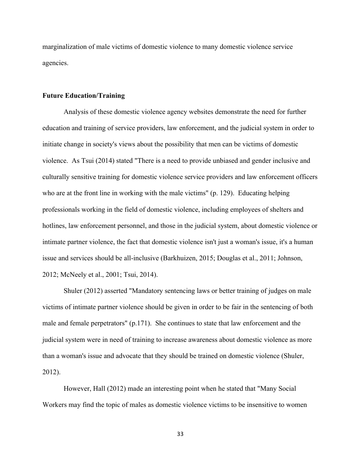marginalization of male victims of domestic violence to many domestic violence service agencies.

#### **Future Education/Training**

Analysis of these domestic violence agency websites demonstrate the need for further education and training of service providers, law enforcement, and the judicial system in order to initiate change in society's views about the possibility that men can be victims of domestic violence. As Tsui (2014) stated "There is a need to provide unbiased and gender inclusive and culturally sensitive training for domestic violence service providers and law enforcement officers who are at the front line in working with the male victims" (p. 129). Educating helping professionals working in the field of domestic violence, including employees of shelters and hotlines, law enforcement personnel, and those in the judicial system, about domestic violence or intimate partner violence, the fact that domestic violence isn't just a woman's issue, it's a human issue and services should be all-inclusive (Barkhuizen, 2015; Douglas et al., 2011; Johnson, 2012; McNeely et al., 2001; Tsui, 2014).

Shuler (2012) asserted "Mandatory sentencing laws or better training of judges on male victims of intimate partner violence should be given in order to be fair in the sentencing of both male and female perpetrators" (p.171). She continues to state that law enforcement and the judicial system were in need of training to increase awareness about domestic violence as more than a woman's issue and advocate that they should be trained on domestic violence (Shuler, 2012).

However, Hall (2012) made an interesting point when he stated that "Many Social Workers may find the topic of males as domestic violence victims to be insensitive to women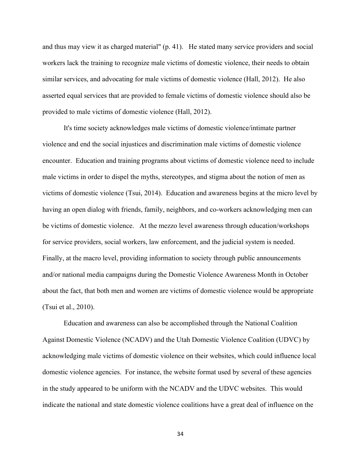and thus may view it as charged material" (p. 41). He stated many service providers and social workers lack the training to recognize male victims of domestic violence, their needs to obtain similar services, and advocating for male victims of domestic violence (Hall, 2012). He also asserted equal services that are provided to female victims of domestic violence should also be provided to male victims of domestic violence (Hall, 2012).

It's time society acknowledges male victims of domestic violence/intimate partner violence and end the social injustices and discrimination male victims of domestic violence encounter. Education and training programs about victims of domestic violence need to include male victims in order to dispel the myths, stereotypes, and stigma about the notion of men as victims of domestic violence (Tsui, 2014). Education and awareness begins at the micro level by having an open dialog with friends, family, neighbors, and co-workers acknowledging men can be victims of domestic violence. At the mezzo level awareness through education/workshops for service providers, social workers, law enforcement, and the judicial system is needed. Finally, at the macro level, providing information to society through public announcements and/or national media campaigns during the Domestic Violence Awareness Month in October about the fact, that both men and women are victims of domestic violence would be appropriate (Tsui et al., 2010).

Education and awareness can also be accomplished through the National Coalition Against Domestic Violence (NCADV) and the Utah Domestic Violence Coalition (UDVC) by acknowledging male victims of domestic violence on their websites, which could influence local domestic violence agencies. For instance, the website format used by several of these agencies in the study appeared to be uniform with the NCADV and the UDVC websites. This would indicate the national and state domestic violence coalitions have a great deal of influence on the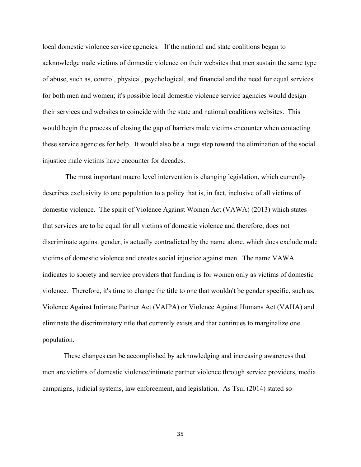local domestic violence service agencies. If the national and state coalitions began to acknowledge male victims of domestic violence on their websites that men sustain the same type of abuse, such as, control, physical, psychological, and financial and the need for equal services for both men and women; it's possible local domestic violence service agencies would design their services and websites to coincide with the state and national coalitions websites. This would begin the process of closing the gap of barriers male victims encounter when contacting these service agencies for help. It would also be a huge step toward the elimination of the social injustice male victims have encounter for decades.

The most important macro level intervention is changing legislation, which currently describes exclusivity to one population to a policy that is, in fact, inclusive of all victims of domestic violence. The spirit of Violence Against Women Act (VAWA) (2013) which states that services are to be equal for all victims of domestic violence and therefore, does not discriminate against gender, is actually contradicted by the name alone, which does exclude male victims of domestic violence and creates social injustice against men. The name VAWA indicates to society and service providers that funding is for women only as victims of domestic violence. Therefore, it's time to change the title to one that wouldn't be gender specific, such as, Violence Against Intimate Partner Act (VAIPA) or Violence Against Humans Act (VAHA) and eliminate the discriminatory title that currently exists and that continues to marginalize one population.

These changes can be accomplished by acknowledging and increasing awareness that men are victims of domestic violence/intimate partner violence through service providers, media campaigns, judicial systems, law enforcement, and legislation. As Tsui (2014) stated so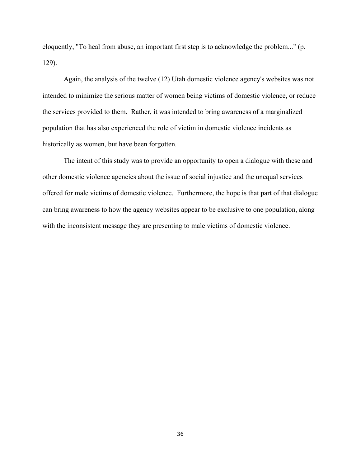eloquently, "To heal from abuse, an important first step is to acknowledge the problem..." (p. 129).

Again, the analysis of the twelve (12) Utah domestic violence agency's websites was not intended to minimize the serious matter of women being victims of domestic violence, or reduce the services provided to them. Rather, it was intended to bring awareness of a marginalized population that has also experienced the role of victim in domestic violence incidents as historically as women, but have been forgotten.

The intent of this study was to provide an opportunity to open a dialogue with these and other domestic violence agencies about the issue of social injustice and the unequal services offered for male victims of domestic violence. Furthermore, the hope is that part of that dialogue can bring awareness to how the agency websites appear to be exclusive to one population, along with the inconsistent message they are presenting to male victims of domestic violence.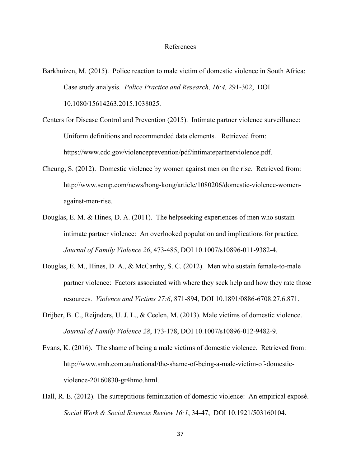#### References

- Barkhuizen, M. (2015). Police reaction to male victim of domestic violence in South Africa: Case study analysis. *Police Practice and Research, 16:4,* 291-302, DOI 10.1080/15614263.2015.1038025.
- Centers for Disease Control and Prevention (2015). Intimate partner violence surveillance: Uniform definitions and recommended data elements. Retrieved from: https://www.cdc.gov/violenceprevention/pdf/intimatepartnerviolence.pdf.
- Cheung, S. (2012). Domestic violence by women against men on the rise. Retrieved from: http://www.scmp.com/news/hong-kong/article/1080206/domestic-violence-womenagainst-men-rise.
- Douglas, E. M. & Hines, D. A. (2011). The helpseeking experiences of men who sustain intimate partner violence: An overlooked population and implications for practice. *Journal of Family Violence 26*, 473-485, DOI 10.1007/s10896-011-9382-4.
- Douglas, E. M., Hines, D. A., & McCarthy, S. C. (2012). Men who sustain female-to-male partner violence: Factors associated with where they seek help and how they rate those resources. *Violence and Victims 27:6*, 871-894, DOI 10.1891/0886-6708.27.6.871.
- Drijber, B. C., Reijnders, U. J. L., & Ceelen, M. (2013). Male victims of domestic violence. *Journal of Family Violence 28*, 173-178, DOI 10.1007/s10896-012-9482-9.
- Evans, K. (2016). The shame of being a male victims of domestic violence. Retrieved from: http://www.smh.com.au/national/the-shame-of-being-a-male-victim-of-domesticviolence-20160830-gr4hmo.html.
- Hall, R. E. (2012). The surreptitious feminization of domestic violence: An empirical exposé. *Social Work & Social Sciences Review 16:1*, 34-47, DOI 10.1921/503160104.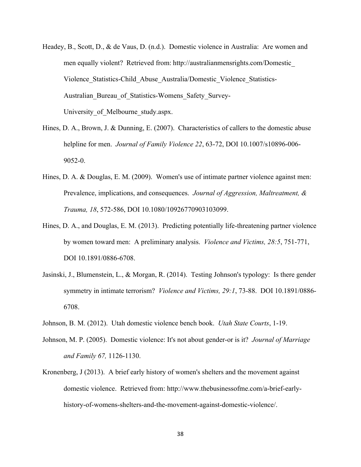- Headey, B., Scott, D., & de Vaus, D. (n.d.). Domestic violence in Australia: Are women and men equally violent? Retrieved from: http://australianmensrights.com/Domestic\_ Violence\_Statistics-Child\_Abuse\_Australia/Domestic\_Violence\_Statistics-Australian Bureau of Statistics-Womens Safety Survey-University of Melbourne study.aspx.
- Hines, D. A., Brown, J. & Dunning, E. (2007). Characteristics of callers to the domestic abuse helpline for men. *Journal of Family Violence 22*, 63-72, DOI 10.1007/s10896-006- 9052-0.
- Hines, D. A. & Douglas, E. M. (2009). Women's use of intimate partner violence against men: Prevalence, implications, and consequences. *Journal of Aggression, Maltreatment, & Trauma, 18*, 572-586, DOI 10.1080/10926770903103099.
- Hines, D. A., and Douglas, E. M. (2013). Predicting potentially life-threatening partner violence by women toward men: A preliminary analysis. *Violence and Victims, 28:5*, 751-771, DOI 10.1891/0886-6708.
- Jasinski, J., Blumenstein, L., & Morgan, R. (2014). Testing Johnson's typology: Is there gender symmetry in intimate terrorism? *Violence and Victims, 29:1*, 73-88. DOI 10.1891/0886- 6708.
- Johnson, B. M. (2012). Utah domestic violence bench book. *Utah State Courts*, 1-19.
- Johnson, M. P. (2005). Domestic violence: It's not about gender-or is it? *Journal of Marriage and Family 67,* 1126-1130.
- Kronenberg, J (2013). A brief early history of women's shelters and the movement against domestic violence. Retrieved from: http://www.thebusinessofme.com/a-brief-earlyhistory-of-womens-shelters-and-the-movement-against-domestic-violence/.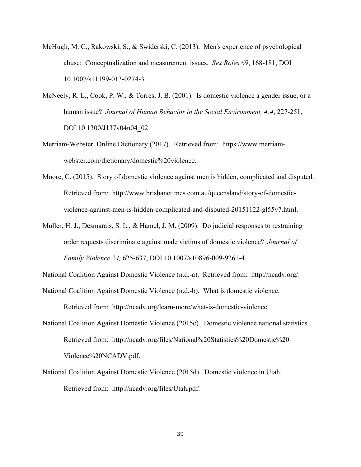- McHugh, M. C., Rakowski, S., & Swiderski, C. (2013). Men's experience of psychological abuse: Conceptualization and measurement issues. *Sex Roles 69*, 168-181, DOI 10.1007/s11199-013-0274-3.
- McNeely, R. L., Cook, P. W., & Torres, J. B. (2001). Is domestic violence a gender issue, or a human issue? *Journal of Human Behavior in the Social Environment, 4:4*, 227-251, DOI 10.1300/J137v04n04\_02.
- Merriam-Webster Online Dictionary (2017). Retrieved from: https://www.merriamwebster.com/dictionary/domestic%20violence.
- Moore, C. (2015). Story of domestic violence against men is hidden, complicated and disputed. Retrieved from: http://www.brisbanetimes.com.au/queensland/story-of-domesticviolence-against-men-is-hidden-complicated-and-disputed-20151122-gl55v7.html.
- Muller, H. J., Desmarais, S. L., & Hamel, J. M. (2009). Do judicial responses to restraining order requests discriminate against male victims of domestic violence? *Journal of Family Violence 24,* 625-637, DOI 10.1007/s10896-009-9261-4.

National Coalition Against Domestic Violence (n.d.-a). Retrieved from: http://ncadv.org/.

National Coalition Against Domestic Violence (n.d.-b). What is domestic violence.

Retrieved from: http://ncadv.org/learn-more/what-is-domestic-violence.

- National Coalition Against Domestic Violence (2015c). Domestic violence national statistics. Retrieved from: http://ncadv.org/files/National%20Statistics%20Domestic%20 Violence%20NCADV.pdf.
- National Coalition Against Domestic Violence (2015d). Domestic violence in Utah. Retrieved from: http://ncadv.org/files/Utah.pdf.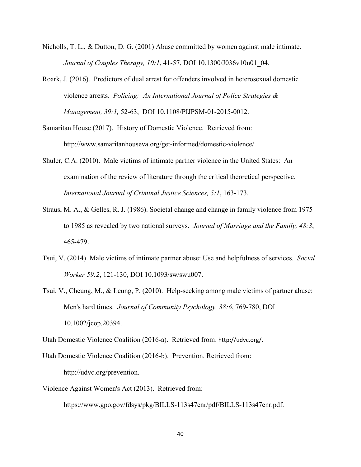- Nicholls, T. L., & Dutton, D. G. (2001) Abuse committed by women against male intimate. *Journal of Couples Therapy, 10:1*, 41-57, DOI 10.1300/J036v10n01\_04.
- Roark, J. (2016). Predictors of dual arrest for offenders involved in heterosexual domestic violence arrests. *Policing: An International Journal of Police Strategies & Management, 39:1,* 52-63, DOI 10.1108/PIJPSM-01-2015-0012.
- Samaritan House (2017). History of Domestic Violence. Retrieved from: http://www.samaritanhouseva.org/get-informed/domestic-violence/.
- Shuler, C.A. (2010). Male victims of intimate partner violence in the United States: An examination of the review of literature through the critical theoretical perspective. *International Journal of Criminal Justice Sciences, 5:1*, 163-173.
- Straus, M. A., & Gelles, R. J. (1986). Societal change and change in family violence from 1975 to 1985 as revealed by two national surveys. *Journal of Marriage and the Family, 48:3*, 465-479.
- Tsui, V. (2014). Male victims of intimate partner abuse: Use and helpfulness of services. *Social Worker 59:2*, 121-130, DOI 10.1093/sw/swu007.
- Tsui, V., Cheung, M., & Leung, P. (2010). Help-seeking among male victims of partner abuse: Men's hard times. *Journal of Community Psychology, 38:6*, 769-780, DOI 10.1002/jcop.20394.

Utah Domestic Violence Coalition (2016-a). Retrieved from: http://udvc.org/.

Utah Domestic Violence Coalition (2016-b). Prevention. Retrieved from: http://udvc.org/prevention.

Violence Against Women's Act (2013). Retrieved from:

https://www.gpo.gov/fdsys/pkg/BILLS-113s47enr/pdf/BILLS-113s47enr.pdf.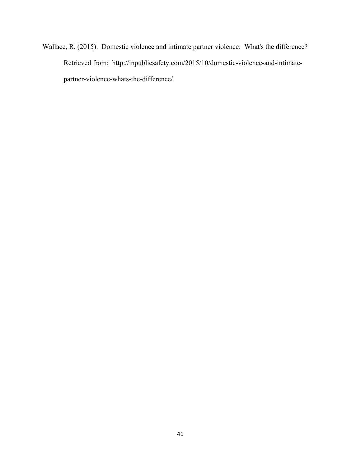Wallace, R. (2015). Domestic violence and intimate partner violence: What's the difference? Retrieved from: http://inpublicsafety.com/2015/10/domestic-violence-and-intimatepartner-violence-whats-the-difference/.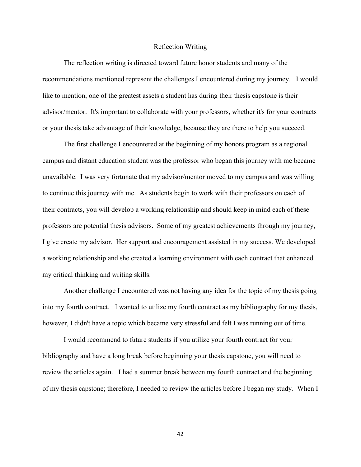#### Reflection Writing

The reflection writing is directed toward future honor students and many of the recommendations mentioned represent the challenges I encountered during my journey. I would like to mention, one of the greatest assets a student has during their thesis capstone is their advisor/mentor. It's important to collaborate with your professors, whether it's for your contracts or your thesis take advantage of their knowledge, because they are there to help you succeed.

The first challenge I encountered at the beginning of my honors program as a regional campus and distant education student was the professor who began this journey with me became unavailable. I was very fortunate that my advisor/mentor moved to my campus and was willing to continue this journey with me. As students begin to work with their professors on each of their contracts, you will develop a working relationship and should keep in mind each of these professors are potential thesis advisors. Some of my greatest achievements through my journey, I give create my advisor. Her support and encouragement assisted in my success. We developed a working relationship and she created a learning environment with each contract that enhanced my critical thinking and writing skills.

Another challenge I encountered was not having any idea for the topic of my thesis going into my fourth contract. I wanted to utilize my fourth contract as my bibliography for my thesis, however, I didn't have a topic which became very stressful and felt I was running out of time.

I would recommend to future students if you utilize your fourth contract for your bibliography and have a long break before beginning your thesis capstone, you will need to review the articles again. I had a summer break between my fourth contract and the beginning of my thesis capstone; therefore, I needed to review the articles before I began my study. When I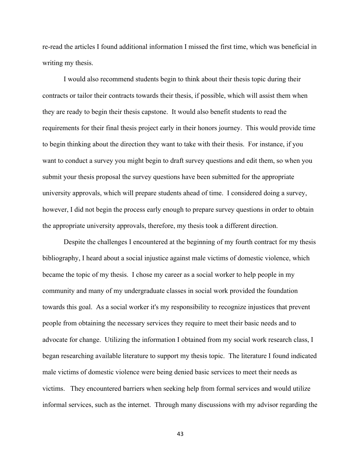re-read the articles I found additional information I missed the first time, which was beneficial in writing my thesis.

I would also recommend students begin to think about their thesis topic during their contracts or tailor their contracts towards their thesis, if possible, which will assist them when they are ready to begin their thesis capstone. It would also benefit students to read the requirements for their final thesis project early in their honors journey. This would provide time to begin thinking about the direction they want to take with their thesis. For instance, if you want to conduct a survey you might begin to draft survey questions and edit them, so when you submit your thesis proposal the survey questions have been submitted for the appropriate university approvals, which will prepare students ahead of time. I considered doing a survey, however, I did not begin the process early enough to prepare survey questions in order to obtain the appropriate university approvals, therefore, my thesis took a different direction.

Despite the challenges I encountered at the beginning of my fourth contract for my thesis bibliography, I heard about a social injustice against male victims of domestic violence, which became the topic of my thesis. I chose my career as a social worker to help people in my community and many of my undergraduate classes in social work provided the foundation towards this goal. As a social worker it's my responsibility to recognize injustices that prevent people from obtaining the necessary services they require to meet their basic needs and to advocate for change. Utilizing the information I obtained from my social work research class, I began researching available literature to support my thesis topic. The literature I found indicated male victims of domestic violence were being denied basic services to meet their needs as victims. They encountered barriers when seeking help from formal services and would utilize informal services, such as the internet. Through many discussions with my advisor regarding the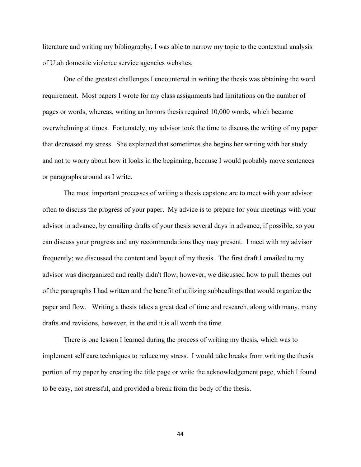literature and writing my bibliography, I was able to narrow my topic to the contextual analysis of Utah domestic violence service agencies websites.

One of the greatest challenges I encountered in writing the thesis was obtaining the word requirement. Most papers I wrote for my class assignments had limitations on the number of pages or words, whereas, writing an honors thesis required 10,000 words, which became overwhelming at times. Fortunately, my advisor took the time to discuss the writing of my paper that decreased my stress. She explained that sometimes she begins her writing with her study and not to worry about how it looks in the beginning, because I would probably move sentences or paragraphs around as I write.

The most important processes of writing a thesis capstone are to meet with your advisor often to discuss the progress of your paper. My advice is to prepare for your meetings with your advisor in advance, by emailing drafts of your thesis several days in advance, if possible, so you can discuss your progress and any recommendations they may present. I meet with my advisor frequently; we discussed the content and layout of my thesis. The first draft I emailed to my advisor was disorganized and really didn't flow; however, we discussed how to pull themes out of the paragraphs I had written and the benefit of utilizing subheadings that would organize the paper and flow. Writing a thesis takes a great deal of time and research, along with many, many drafts and revisions, however, in the end it is all worth the time.

There is one lesson I learned during the process of writing my thesis, which was to implement self care techniques to reduce my stress. I would take breaks from writing the thesis portion of my paper by creating the title page or write the acknowledgement page, which I found to be easy, not stressful, and provided a break from the body of the thesis.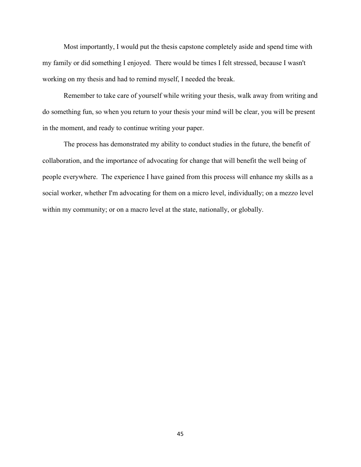Most importantly, I would put the thesis capstone completely aside and spend time with my family or did something I enjoyed. There would be times I felt stressed, because I wasn't working on my thesis and had to remind myself, I needed the break.

Remember to take care of yourself while writing your thesis, walk away from writing and do something fun, so when you return to your thesis your mind will be clear, you will be present in the moment, and ready to continue writing your paper.

The process has demonstrated my ability to conduct studies in the future, the benefit of collaboration, and the importance of advocating for change that will benefit the well being of people everywhere. The experience I have gained from this process will enhance my skills as a social worker, whether I'm advocating for them on a micro level, individually; on a mezzo level within my community; or on a macro level at the state, nationally, or globally.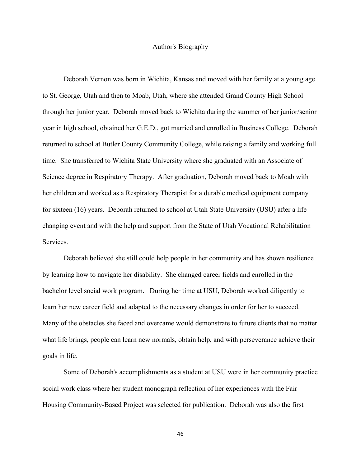#### Author's Biography

Deborah Vernon was born in Wichita, Kansas and moved with her family at a young age to St. George, Utah and then to Moab, Utah, where she attended Grand County High School through her junior year. Deborah moved back to Wichita during the summer of her junior/senior year in high school, obtained her G.E.D., got married and enrolled in Business College. Deborah returned to school at Butler County Community College, while raising a family and working full time. She transferred to Wichita State University where she graduated with an Associate of Science degree in Respiratory Therapy. After graduation, Deborah moved back to Moab with her children and worked as a Respiratory Therapist for a durable medical equipment company for sixteen (16) years. Deborah returned to school at Utah State University (USU) after a life changing event and with the help and support from the State of Utah Vocational Rehabilitation Services.

Deborah believed she still could help people in her community and has shown resilience by learning how to navigate her disability. She changed career fields and enrolled in the bachelor level social work program. During her time at USU, Deborah worked diligently to learn her new career field and adapted to the necessary changes in order for her to succeed. Many of the obstacles she faced and overcame would demonstrate to future clients that no matter what life brings, people can learn new normals, obtain help, and with perseverance achieve their goals in life.

Some of Deborah's accomplishments as a student at USU were in her community practice social work class where her student monograph reflection of her experiences with the Fair Housing Community-Based Project was selected for publication. Deborah was also the first